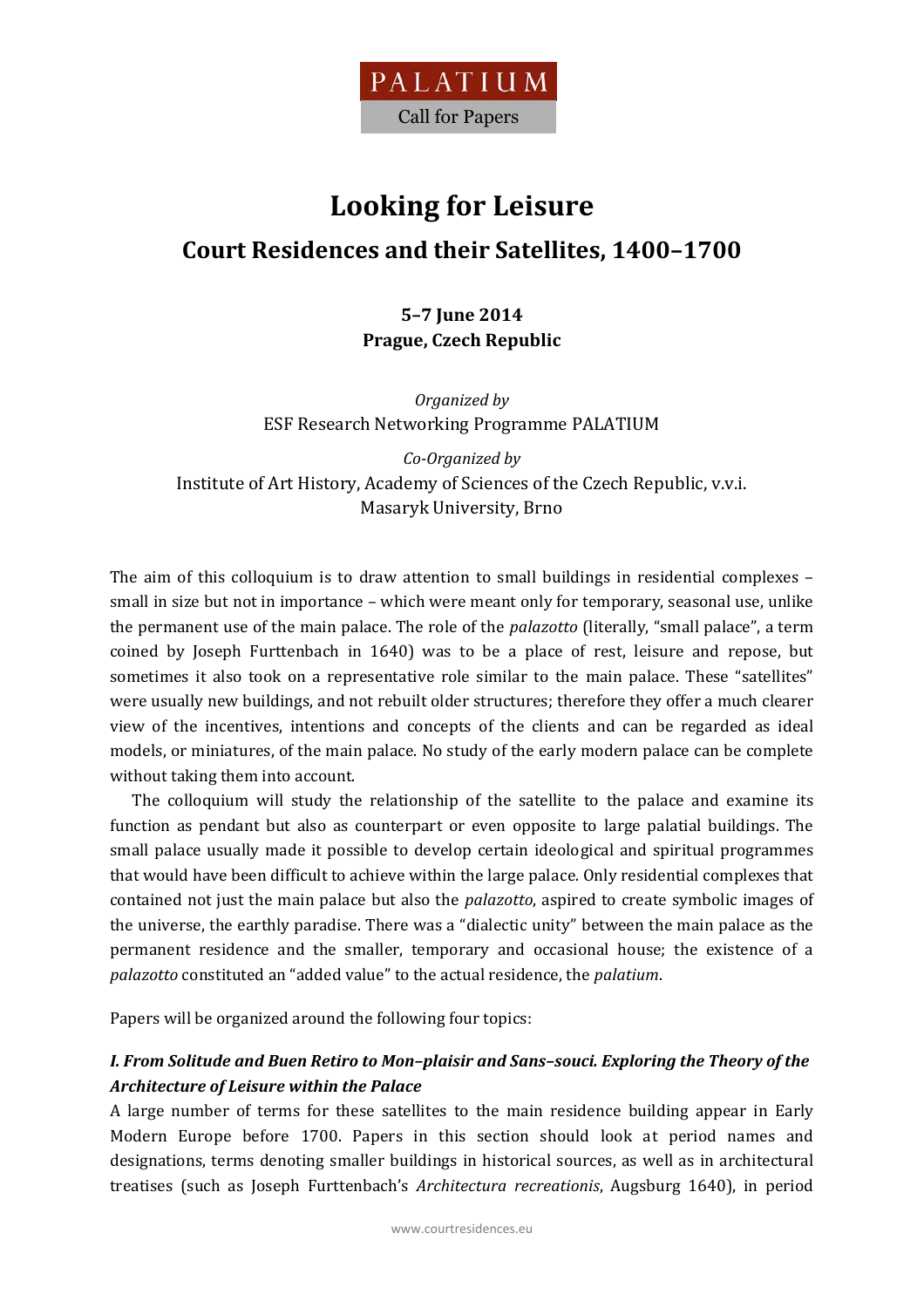

# **Looking for Leisure Court Residences and their Satellites, 1400–1700**

# **5–7 June 2014 Prague, Czech Republic**

*Organized by*  ESF Research Networking Programme PALATIUM

*Co-Organized by* Institute of Art History, Academy of Sciences of the Czech Republic, v.v.i. Masaryk University, Brno

The aim of this colloquium is to draw attention to small buildings in residential complexes – small in size but not in importance – which were meant only for temporary, seasonal use, unlike the permanent use of the main palace. The role of the *palazotto* (literally, "small palace", a term coined by Joseph Furttenbach in 1640) was to be a place of rest, leisure and repose, but sometimes it also took on a representative role similar to the main palace. These "satellites" were usually new buildings, and not rebuilt older structures; therefore they offer a much clearer view of the incentives, intentions and concepts of the clients and can be regarded as ideal models, or miniatures, of the main palace. No study of the early modern palace can be complete without taking them into account.

The colloquium will study the relationship of the satellite to the palace and examine its function as pendant but also as counterpart or even opposite to large palatial buildings. The small palace usually made it possible to develop certain ideological and spiritual programmes that would have been difficult to achieve within the large palace. Only residential complexes that contained not just the main palace but also the *palazotto*, aspired to create symbolic images of the universe, the earthly paradise. There was a "dialectic unity" between the main palace as the permanent residence and the smaller, temporary and occasional house; the existence of a *palazotto* constituted an "added value" to the actual residence, the *palatium*.

Papers will be organized around the following four topics:

## *I. From Solitude and Buen Retiro to Mon–plaisir and Sans–souci. Exploring the Theory of the Architecture of Leisure within the Palace*

A large number of terms for these satellites to the main residence building appear in Early Modern Europe before 1700. Papers in this section should look at period names and designations, terms denoting smaller buildings in historical sources, as well as in architectural treatises (such as Joseph Furttenbach's *Architectura recreationis*, Augsburg 1640), in period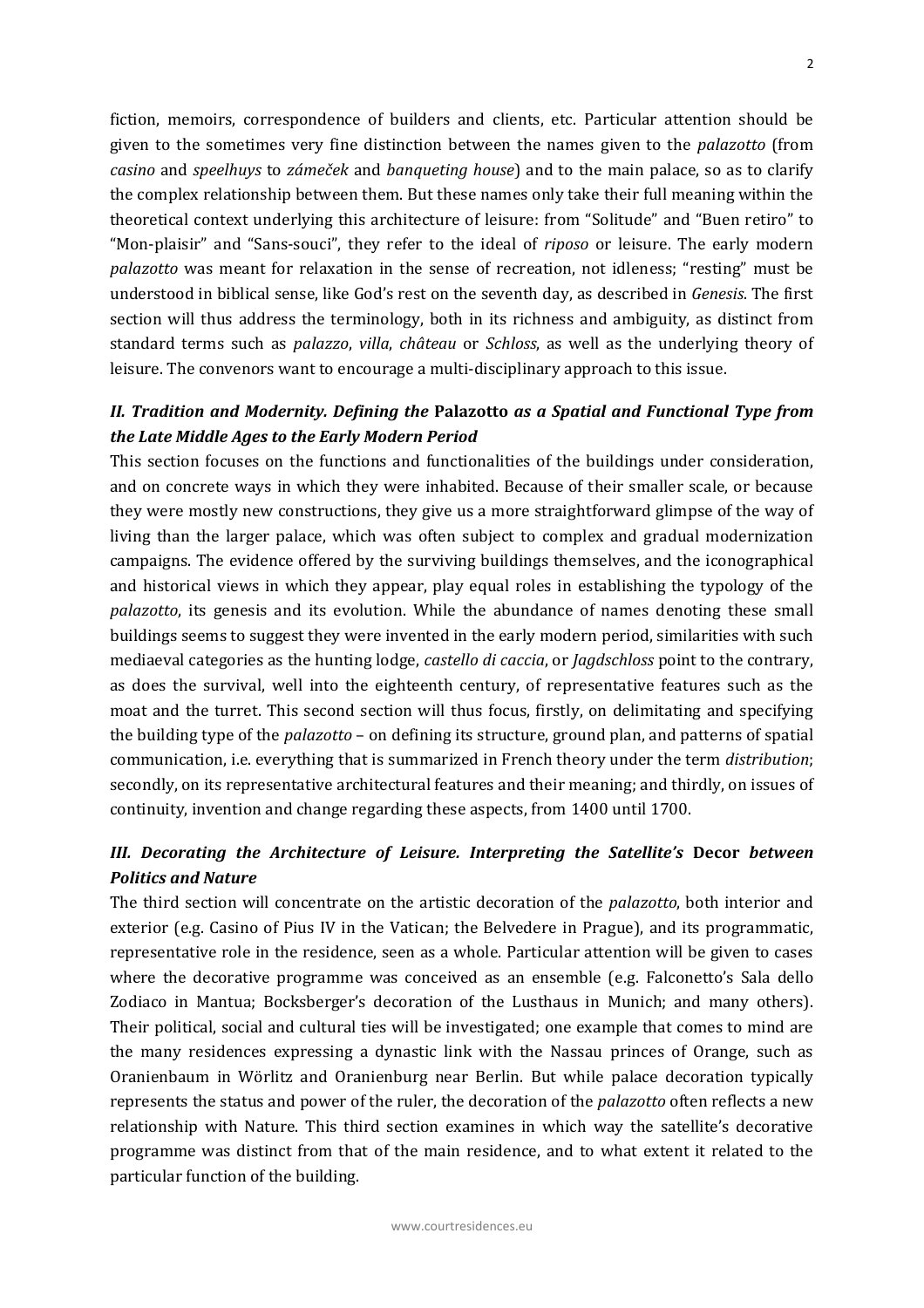fiction, memoirs, correspondence of builders and clients, etc. Particular attention should be given to the sometimes very fine distinction between the names given to the *palazotto* (from *casino* and *speelhuys* to *zámeček* and *banqueting house*) and to the main palace, so as to clarify the complex relationship between them. But these names only take their full meaning within the theoretical context underlying this architecture of leisure: from "Solitude" and "Buen retiro" to "Mon‐plaisir" and "Sans‐souci", they refer to the ideal of *riposo* or leisure. The early modern *palazotto* was meant for relaxation in the sense of recreation, not idleness; "resting" must be understood in biblical sense, like God's rest on the seventh day, as described in *Genesis*. The first section will thus address the terminology, both in its richness and ambiguity, as distinct from standard terms such as *palazzo*, *villa*, *château* or *Schloss*, as well as the underlying theory of leisure. The convenors want to encourage a multi‐disciplinary approach to this issue.

### *II. Tradition and Modernity. Defining the* **Palazotto** *as a Spatial and Functional Type from the Late Middle Ages to the Early Modern Period*

This section focuses on the functions and functionalities of the buildings under consideration, and on concrete ways in which they were inhabited. Because of their smaller scale, or because they were mostly new constructions, they give us a more straightforward glimpse of the way of living than the larger palace, which was often subject to complex and gradual modernization campaigns. The evidence offered by the surviving buildings themselves, and the iconographical and historical views in which they appear, play equal roles in establishing the typology of the *palazotto*, its genesis and its evolution. While the abundance of names denoting these small buildings seems to suggest they were invented in the early modern period, similarities with such mediaeval categories as the hunting lodge, *castello di caccia*, or *Jagdschloss* point to the contrary, as does the survival, well into the eighteenth century, of representative features such as the moat and the turret. This second section will thus focus, firstly, on delimitating and specifying the building type of the *palazotto* – on defining its structure, ground plan, and patterns of spatial communication, i.e. everything that is summarized in French theory under the term *distribution*; secondly, on its representative architectural features and their meaning; and thirdly, on issues of continuity, invention and change regarding these aspects, from 1400 until 1700.

## *III. Decorating the Architecture of Leisure. Interpreting the Satellite's* **Decor** *between Politics and Nature*

The third section will concentrate on the artistic decoration of the *palazotto*, both interior and exterior (e.g. Casino of Pius IV in the Vatican; the Belvedere in Prague), and its programmatic, representative role in the residence, seen as a whole. Particular attention will be given to cases where the decorative programme was conceived as an ensemble (e.g. Falconetto's Sala dello Zodiaco in Mantua; Bocksberger's decoration of the Lusthaus in Munich; and many others). Their political, social and cultural ties will be investigated; one example that comes to mind are the many residences expressing a dynastic link with the Nassau princes of Orange, such as Oranienbaum in Wörlitz and Oranienburg near Berlin. But while palace decoration typically represents the status and power of the ruler, the decoration of the *palazotto* often reflects a new relationship with Nature. This third section examines in which way the satellite's decorative programme was distinct from that of the main residence, and to what extent it related to the particular function of the building.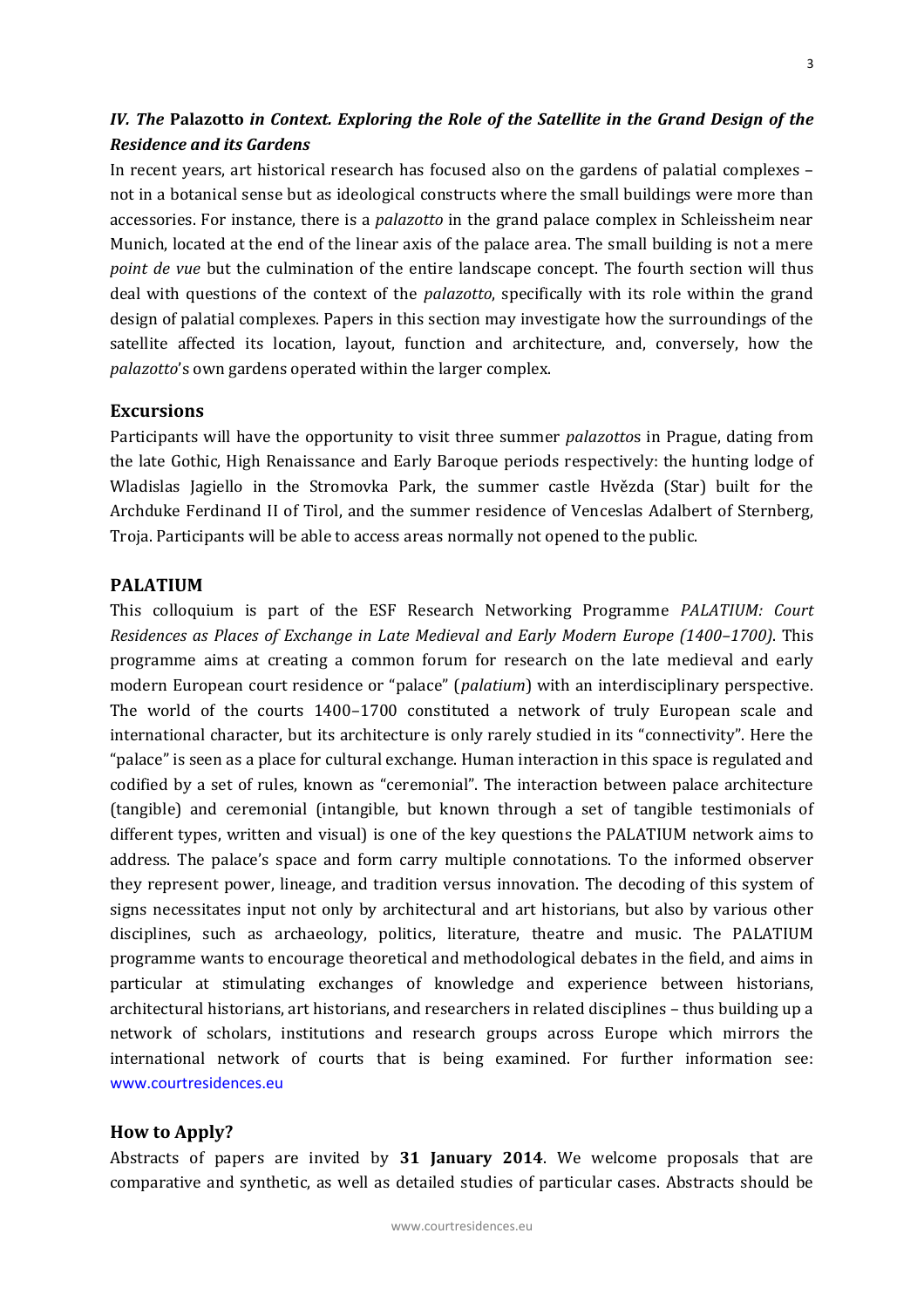## *IV. The* **Palazotto** *in Context. Exploring the Role of the Satellite in the Grand Design of the Residence and its Gardens*

In recent years, art historical research has focused also on the gardens of palatial complexes – not in a botanical sense but as ideological constructs where the small buildings were more than accessories. For instance, there is a *palazotto* in the grand palace complex in Schleissheim near Munich, located at the end of the linear axis of the palace area. The small building is not a mere *point de vue* but the culmination of the entire landscape concept. The fourth section will thus deal with questions of the context of the *palazotto*, specifically with its role within the grand design of palatial complexes. Papers in this section may investigate how the surroundings of the satellite affected its location, layout, function and architecture, and, conversely, how the *palazotto*'s own gardens operated within the larger complex.

#### **Excursions**

Participants will have the opportunity to visit three summer *palazotto*s in Prague, dating from the late Gothic, High Renaissance and Early Baroque periods respectively: the hunting lodge of Wladislas Jagiello in the Stromovka Park, the summer castle Hvězda (Star) built for the Archduke Ferdinand II of Tirol, and the summer residence of Venceslas Adalbert of Sternberg, Troja. Participants will be able to access areas normally not opened to the public.

#### **PALATIUM**

This colloquium is part of the ESF Research Networking Programme *PALATIUM: Court Residences as Places of Exchange in Late Medieval and Early Modern Europe (1400–1700)*. This programme aims at creating a common forum for research on the late medieval and early modern European court residence or "palace" (*palatium*) with an interdisciplinary perspective. The world of the courts 1400–1700 constituted a network of truly European scale and international character, but its architecture is only rarely studied in its "connectivity". Here the "palace" is seen as a place for cultural exchange. Human interaction in this space is regulated and codified by a set of rules, known as "ceremonial". The interaction between palace architecture (tangible) and ceremonial (intangible, but known through a set of tangible testimonials of different types, written and visual) is one of the key questions the PALATIUM network aims to address. The palace's space and form carry multiple connotations. To the informed observer they represent power, lineage, and tradition versus innovation. The decoding of this system of signs necessitates input not only by architectural and art historians, but also by various other disciplines, such as archaeology, politics, literature, theatre and music. The PALATIUM programme wants to encourage theoretical and methodological debates in the field, and aims in particular at stimulating exchanges of knowledge and experience between historians, architectural historians, art historians, and researchers in related disciplines – thus building up a network of scholars, institutions and research groups across Europe which mirrors the international network of courts that is being examined. For further information see: www.courtresidences.eu

#### **How to Apply?**

Abstracts of papers are invited by **31 January 2014**. We welcome proposals that are comparative and synthetic, as well as detailed studies of particular cases. Abstracts should be